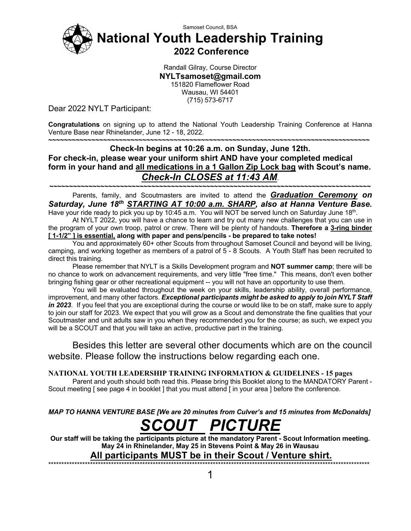

Samoset Council, BSA **National Youth Leadership Training**

**2022 Conference**

Randall Gilray, Course Director **NYLTsamoset@gmail.com** 151820 Flameflower Road Wausau, WI 54401 (715) 573-6717

Dear 2022 NYLT Participant:

**Congratulations** on signing up to attend the National Youth Leadership Training Conference at Hanna Venture Base near Rhinelander, June 12 - 18, 2022.

#### **~~~~~~~~~~~~~~~~~~~~~~~~~~~~~~~~~~~~~~~~~~~~~~~~~~~~~~~~~~~~~~~~~~~~~~~~~~~~~~~~~~ Check-In begins at 10:26 a.m. on Sunday, June 12th. For check-in, please wear your uniform shirt AND have your completed medical form in your hand and all medications in a 1 Gallon Zip Lock bag with Scout's name.** *Check-In CLOSES at 11:43 AM*.

**~~~~~~~~~~~~~~~~~~~~~~~~~~~~~~~~~~~~~~~~~~~~~~~~~~~~~~~~~~~~~~~~~~~~~~~~~~~~~~~~~~** Parents, family, and Scoutmasters are invited to attend the *Graduation Ceremony on Saturday, June 18th STARTING AT 10:00 a.m. SHARP, also at Hanna Venture Base.*

Have your ride ready to pick you up by 10:45 a.m. You will NOT be served lunch on Saturday June 18<sup>th</sup>. At NYLT 2022, you will have a chance to learn and try out many new challenges that you can use in the program of your own troop, patrol or crew. There will be plenty of handouts. **Therefore a 3-ring binder [ 1-1/2" ] is essential, along with paper and pens/pencils - be prepared to take notes!**

You and approximately 60+ other Scouts from throughout Samoset Council and beyond will be living, camping, and working together as members of a patrol of 5 - 8 Scouts. A Youth Staff has been recruited to direct this training.

Please remember that NYLT is a Skills Development program and **NOT summer camp**; there will be no chance to work on advancement requirements, and very little "free time." This means, don't even bother bringing fishing gear or other recreational equipment -- you will not have an opportunity to use them.

You will be evaluated throughout the week on your skills, leadership ability, overall performance, improvement, and many other factors. *Exceptional participants might be asked to apply to join NYLT Staff in 2023*. If you feel that you are exceptional during the course or would like to be on staff, make sure to apply to join our staff for 2023. We expect that you will grow as a Scout and demonstrate the fine qualities that your Scoutmaster and unit adults saw in you when they recommended you for the course; as such, we expect you will be a SCOUT and that you will take an active, productive part in the training.

Besides this letter are several other documents which are on the council website. Please follow the instructions below regarding each one.

**NATIONAL YOUTH LEADERSHIP TRAINING INFORMATION & GUIDELINES - 15 pages**

Parent and youth should both read this. Please bring this Booklet along to the MANDATORY Parent - Scout meeting [ see page 4 in booklet ] that you must attend [ in your area ] before the conference.

*MAP TO HANNA VENTURE BASE [We are 20 minutes from Culver's and 15 minutes from McDonalds]*

# *SCOUT PICTURE*

**Our staff will be taking the participants picture at the mandatory Parent - Scout Information meeting. May 24 in Rhinelander, May 25 in Stevens Point & May 26 in Wausau**

**All participants MUST be in their Scout / Venture shirt.** \*\*\*\*\*\*\*\*\*\*\*\*\*\*\*\*\*\*\*\*\*\*\*\*\*\*\*\*\*\*\*\*\*\*\*\*\*\*\*\*\*\*\*\*\*\*\*\*\*\*\*\*\*\*\*\*\*\*\*\*\*\*\*\*\*\*\*\*\*\*\*\*\*\*\*\*\*\*\*\*\*\*\*\*\*\*\*\*\*\*\*\*\*\*\*\*\*\*\*\*\*\*\*\*\*\*\*\*\*\*\*\*\*\*\*\*\*\*\*\*\*\*\*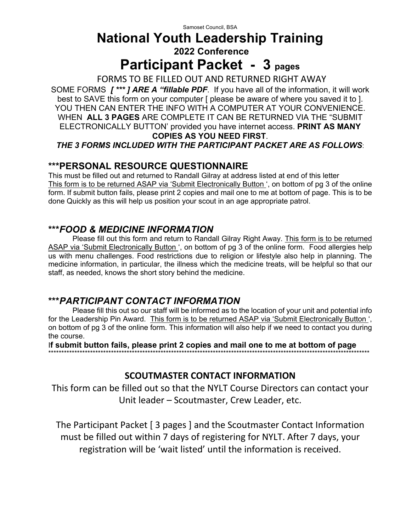### **National Youth Leadership Training 2022 Conference**

# **Participant Packet - 3 pages**

FORMS TO BE FILLED OUT AND RETURNED RIGHT AWAY SOME FORMS *[ \*\*\* ] ARE A "fillable PDF*. If you have all of the information, it will work best to SAVE this form on your computer [ please be aware of where you saved it to ]. YOU THEN CAN ENTER THE INFO WITH A COMPUTER AT YOUR CONVENIENCE. WHEN **ALL 3 PAGES** ARE COMPLETE IT CAN BE RETURNED VIA THE "SUBMIT ELECTRONICALLY BUTTON' provided you have internet access. **PRINT AS MANY COPIES AS YOU NEED FIRST**. *THE 3 FORMS INCLUDED WITH THE PARTICIPANT PACKET ARE AS FOLLOWS*:

#### **\*\*\*PERSONAL RESOURCE QUESTIONNAIRE**

This must be filled out and returned to Randall Gilray at address listed at end of this letter This form is to be returned ASAP via 'Submit Electronically Button ', on bottom of pg 3 of the online form. If submit button fails, please print 2 copies and mail one to me at bottom of page. This is to be done Quickly as this will help us position your scout in an age appropriate patrol.

#### **\*\*\****FOOD & MEDICINE INFORMATION*

Please fill out this form and return to Randall Gilray Right Away. This form is to be returned ASAP via 'Submit Electronically Button ', on bottom of pg 3 of the online form. Food allergies help us with menu challenges. Food restrictions due to religion or lifestyle also help in planning. The medicine information, in particular, the illness which the medicine treats, will be helpful so that our staff, as needed, knows the short story behind the medicine.

#### **\*\*\****PARTICIPANT CONTACT INFORMATION*

Please fill this out so our staff will be informed as to the location of your unit and potential info for the Leadership Pin Award. This form is to be returned ASAP via 'Submit Electronically Button', on bottom of pg 3 of the online form. This information will also help if we need to contact you during the course.

I**f submit button fails, please print 2 copies and mail one to me at bottom of page** \*\*\*\*\*\*\*\*\*\*\*\*\*\*\*\*\*\*\*\*\*\*\*\*\*\*\*\*\*\*\*\*\*\*\*\*\*\*\*\*\*\*\*\*\*\*\*\*\*\*\*\*\*\*\*\*\*\*\*\*\*\*\*\*\*\*\*\*\*\*\*\*\*\*\*\*\*\*\*\*\*\*\*\*\*\*\*\*\*\*\*\*\*\*\*\*\*\*\*\*\*\*\*\*\*\*\*\*\*\*\*\*\*\*\*\*\*\*\*\*\*\*\*

#### **SCOUTMASTER CONTACT INFORMATION**

This form can be filled out so that the NYLT Course Directors can contact your Unit leader – Scoutmaster, Crew Leader, etc.

The Participant Packet [ 3 pages ] and the Scoutmaster Contact Information must be filled out within 7 days of registering for NYLT. After 7 days, your registration will be 'wait listed' until the information is received.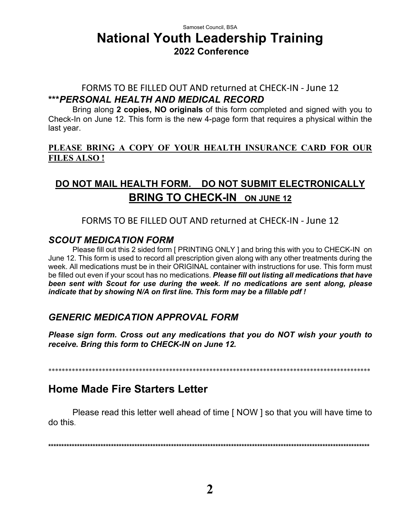#### Samoset Council, BSA **National Youth Leadership Training 2022 Conference**

#### FORMS TO BE FILLED OUT AND returned at CHECK-IN - June 12 **\*\*\****PERSONAL HEALTH AND MEDICAL RECORD*

Bring along **2 copies, NO originals** of this form completed and signed with you to Check-In on June 12. This form is the new 4-page form that requires a physical within the last year.

#### **PLEASE BRING A COPY OF YOUR HEALTH INSURANCE CARD FOR OUR FILES ALSO !**

## **DO NOT MAIL HEALTH FORM. DO NOT SUBMIT ELECTRONICALLY BRING TO CHECK-IN ON JUNE 12**

#### FORMS TO BE FILLED OUT AND returned at CHECK-IN - June 12

#### *SCOUT MEDICATION FORM*

Please fill out this 2 sided form [ PRINTING ONLY ] and bring this with you to CHECK-IN on June 12. This form is used to record all prescription given along with any other treatments during the week. All medications must be in their ORIGINAL container with instructions for use. This form must be filled out even if your scout has no medications. *Please fill out listing all medications that have been sent with Scout for use during the week. If no medications are sent along, please indicate that by showing N/A on first line. This form may be a fillable pdf !*

#### *GENERIC MEDICATION APPROVAL FORM*

*Please sign form. Cross out any medications that you do NOT wish your youth to receive. Bring this form to CHECK-IN on June 12.*

\*\*\*\*\*\*\*\*\*\*\*\*\*\*\*\*\*\*\*\*\*\*\*\*\*\*\*\*\*\*\*\*\*\*\*\*\*\*\*\*\*\*\*\*\*\*\*\*\*\*\*\*\*\*\*\*\*\*\*\*\*\*\*\*\*\*\*\*\*\*\*\*\*\*\*\*\*\*\*\*\*\*\*\*\*\*\*\*\*\*\*\*\*\*\*\*

### **Home Made Fire Starters Letter**

Please read this letter well ahead of time [ NOW ] so that you will have time to do this.

**\*\*\*\*\*\*\*\*\*\*\*\*\*\*\*\*\*\*\*\*\*\*\*\*\*\*\*\*\*\*\*\*\*\*\*\*\*\*\*\*\*\*\*\*\*\*\*\*\*\*\*\*\*\*\*\*\*\*\*\*\*\*\*\*\*\*\*\*\*\*\*\*\*\*\*\*\*\*\*\*\*\*\*\*\*\*\*\*\*\*\*\*\*\*\*\*\*\*\*\*\*\*\*\*\*\*\*\*\*\*\*\*\*\*\*\*\*\*\*\*\*\*\***